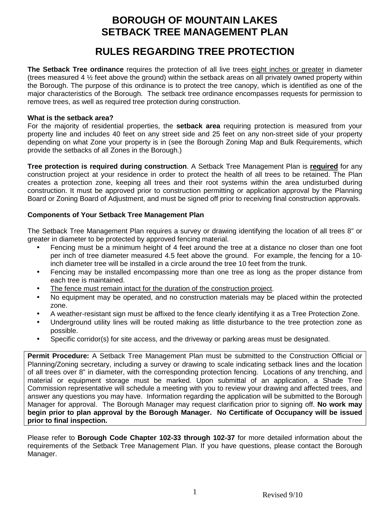### **BOROUGH OF MOUNTAIN LAKES SETBACK TREE MANAGEMENT PLAN**

# **RULES REGARDING TREE PROTECTION**

**The Setback Tree ordinance** requires the protection of all live trees eight inches or greater in diameter (trees measured 4 ½ feet above the ground) within the setback areas on all privately owned property within the Borough. The purpose of this ordinance is to protect the tree canopy, which is identified as one of the major characteristics of the Borough. The setback tree ordinance encompasses requests for permission to remove trees, as well as required tree protection during construction.

#### **What is the setback area?**

For the majority of residential properties, the **setback area** requiring protection is measured from your property line and includes 40 feet on any street side and 25 feet on any non-street side of your property depending on what Zone your property is in (see the Borough Zoning Map and Bulk Requirements, which provide the setbacks of all Zones in the Borough.)

**Tree protection is required during construction**. A Setback Tree Management Plan is **required** for any construction project at your residence in order to protect the health of all trees to be retained. The Plan creates a protection zone, keeping all trees and their root systems within the area undisturbed during construction. It must be approved prior to construction permitting or application approval by the Planning Board or Zoning Board of Adjustment, and must be signed off prior to receiving final construction approvals.

### **Components of Your Setback Tree Management Plan**

The Setback Tree Management Plan requires a survey or drawing identifying the location of all trees 8" or greater in diameter to be protected by approved fencing material.

- Fencing must be a minimum height of 4 feet around the tree at a distance no closer than one foot per inch of tree diameter measured 4.5 feet above the ground. For example, the fencing for a 10 inch diameter tree will be installed in a circle around the tree 10 feet from the trunk.
- Fencing may be installed encompassing more than one tree as long as the proper distance from each tree is maintained.
- The fence must remain intact for the duration of the construction project.
- No equipment may be operated, and no construction materials may be placed within the protected zone.
- A weather-resistant sign must be affixed to the fence clearly identifying it as a Tree Protection Zone.
- Underground utility lines will be routed making as little disturbance to the tree protection zone as possible.
- Specific corridor(s) for site access, and the driveway or parking areas must be designated.

**Permit Procedure:** A Setback Tree Management Plan must be submitted to the Construction Official or Planning/Zoning secretary, including a survey or drawing to scale indicating setback lines and the location of all trees over 8" in diameter, with the corresponding protection fencing. Locations of any trenching, and material or equipment storage must be marked. Upon submittal of an application, a Shade Tree Commission representative will schedule a meeting with you to review your drawing and affected trees, and answer any questions you may have. Information regarding the application will be submitted to the Borough Manager for approval. The Borough Manager may request clarification prior to signing off. **No work may begin prior to plan approval by the Borough Manager. No Certificate of Occupancy will be issued prior to final inspection.**

Please refer to **Borough Code Chapter 102-33 through 102-37** for more detailed information about the requirements of the Setback Tree Management Plan. If you have questions, please contact the Borough Manager.